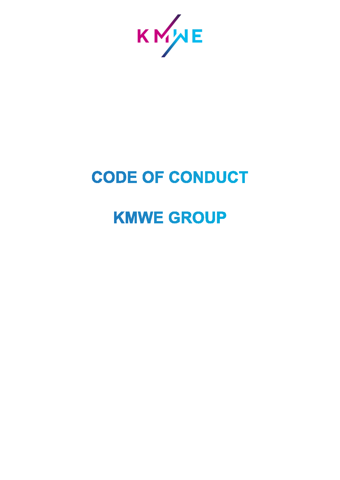

# **CODE OF CONDUCT**

# **KMWE GROUP**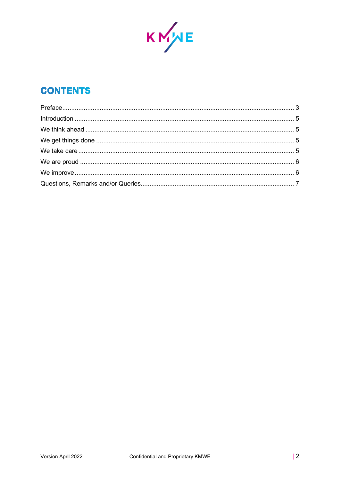

# **CONTENTS**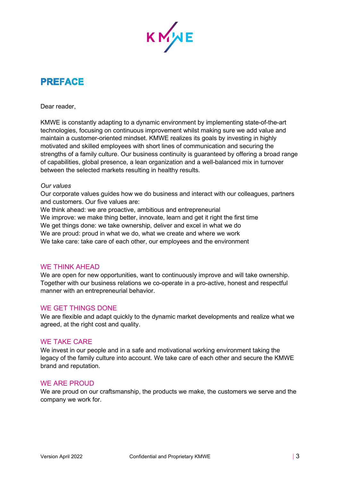

# <span id="page-2-0"></span>**PREFACE**

Dear reader,

KMWE is constantly adapting to a dynamic environment by implementing state-of-the-art technologies, focusing on continuous [improvement](https://www.kmwe.com/who-we-are/ongoing-improvement/) whilst making sure we add value and maintain a customer-oriented mindset. KMWE realizes its goals by investing in highly motivated and skilled employees with short lines of communication and securing the strengths of a family culture. Our business continuity is guaranteed by offering a broad range of capabilities, global presence, a lean organization and a well-balanced mix in turnover between the selected markets resulting in healthy results.

#### *Our values*

Our corporate values guides how we do business and interact with our colleagues, partners and customers. Our five values are:

We think ahead: we are proactive, ambitious and entrepreneurial

We improve: we make thing better, innovate, learn and get it right the first time

We get things done: we take ownership, deliver and excel in what we do

We are proud: proud in what we do, what we create and where we work

We take care: take care of each other, our employees and the environment

#### WE THINK AHEAD

We are open for new opportunities, want to continuously improve and will take ownership. Together with our business relations we co-operate in a pro-active, honest and respectful manner with an entrepreneurial behavior.

#### WE GET THINGS DONE

We are flexible and adapt quickly to the dynamic market developments and realize what we agreed, at the right cost and quality.

#### WE TAKE CARE

We invest in our people and in a safe and motivational working environment taking the legacy of the family culture into account. We take care of each other and secure the KMWE brand and reputation.

#### WE ARE PROUD

We are proud on our craftsmanship, the products we make, the customers we serve and the company we work for.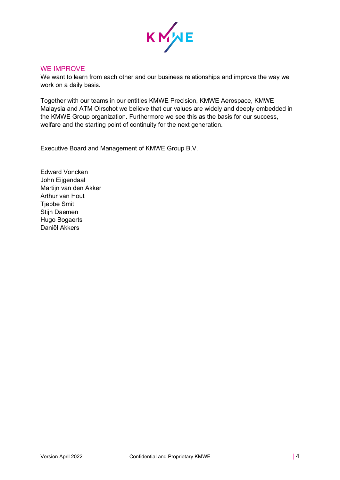

#### WE IMPROVE

We want to learn from each other and our business relationships and improve the way we work on a daily basis.

Together with our teams in our entities KMWE Precision, KMWE Aerospace, KMWE Malaysia and ATM Oirschot we believe that our values are widely and deeply embedded in the KMWE Group organization. Furthermore we see this as the basis for our success, welfare and the starting point of continuity for the next generation.

Executive Board and Management of KMWE Group B.V.

Edward Voncken John Eijgendaal Martijn van den Akker Arthur van Hout **Tiebbe Smit** Stijn Daemen Hugo Bogaerts Daniël Akkers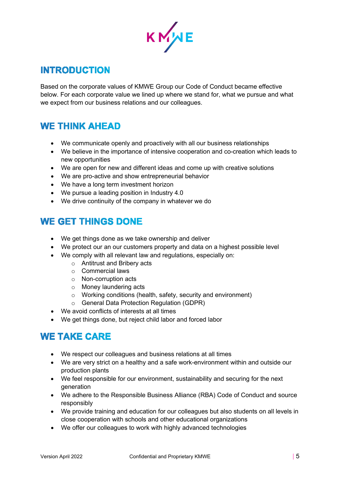

## <span id="page-4-0"></span>**INTRODUCTION**

Based on the corporate values of KMWE Group our Code of Conduct became effective below. For each corporate value we lined up where we stand for, what we pursue and what we expect from our business relations and our colleagues.

## <span id="page-4-1"></span>**WE THINK AHEAD**

- We communicate openly and proactively with all our business relationships
- We believe in the importance of intensive cooperation and co-creation which leads to new opportunities
- We are open for new and different ideas and come up with creative solutions
- We are pro-active and show entrepreneurial behavior
- We have a long term investment horizon
- We pursue a leading position in Industry 4.0
- We drive continuity of the company in whatever we do

## <span id="page-4-2"></span>**WE GET THINGS DONE**

- We get things done as we take ownership and deliver
- We protect our an our customers property and data on a highest possible level
- We comply with all relevant law and regulations, especially on:
	- o Antitrust and Bribery acts
	- o Commercial laws
	- o Non-corruption acts
	- o Money laundering acts
	- o Working conditions (health, safety, security and environment)
	- o General Data Protection Regulation (GDPR)
- We avoid conflicts of interests at all times
- We get things done, but reject child labor and forced labor

## <span id="page-4-3"></span>**WE TAKE CARE**

- We respect our colleagues and business relations at all times
- We are very strict on a healthy and a safe work-environment within and outside our production plants
- We feel responsible for our environment, sustainability and securing for the next generation
- We adhere to the Responsible Business Alliance (RBA) Code of Conduct and source responsibly
- We provide training and education for our colleagues but also students on all levels in close cooperation with schools and other educational organizations
- We offer our colleagues to work with highly advanced technologies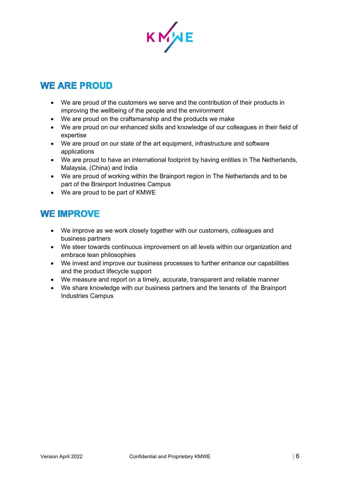

# <span id="page-5-0"></span>**WE ARE PROUD**

- We are proud of the customers we serve and the contribution of their products in improving the wellbeing of the people and the environment
- We are proud on the craftsmanship and the products we make
- We are proud on our enhanced skills and knowledge of our colleagues in their field of expertise
- We are proud on our state of the art equipment, infrastructure and software applications
- We are proud to have an international footprint by having entities in The Netherlands, Malaysia, (China) and India
- We are proud of working within the Brainport region in The Netherlands and to be part of the Brainport Industries Campus
- We are proud to be part of KMWE

### <span id="page-5-1"></span>**WE IMPROVE**

- We improve as we work closely together with our customers, colleagues and business partners
- We steer towards continuous improvement on all levels within our organization and embrace lean philosophies
- We invest and improve our business processes to further enhance our capabilities and the product lifecycle support
- We measure and report on a timely, accurate, transparent and reliable manner
- We share knowledge with our business partners and the tenants of the [Brainport](https://www.brainportindustries.com/en)  [Industries](https://www.brainportindustries.com/en) Campus